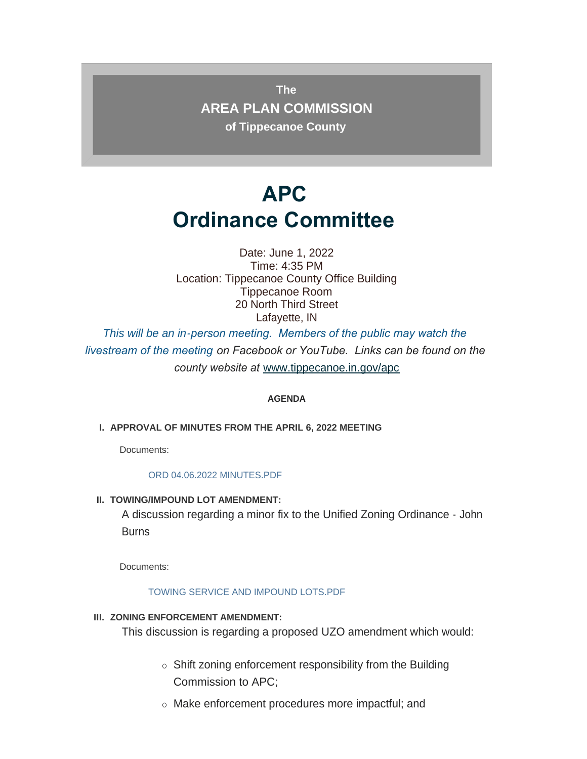**The AREA PLAN COMMISSION of Tippecanoe County**

# **APC Ordinance Committee**

Date: June 1, 2022 Time: 4:35 PM Location: Tippecanoe County Office Building Tippecanoe Room 20 North Third Street Lafayette, IN

*This will be an in-person meeting. Members of the public may watch the livestream of the meeting on Facebook or YouTube. Links can be found on the county website at* [www.tippecanoe.in.gov/apc](http://www.tippecanoe.in.gov/apc)

### **AGENDA**

**APPROVAL OF MINUTES FROM THE APRIL 6, 2022 MEETING I.**

Documents:

#### [ORD 04.06.2022 MINUTES.PDF](http://www.tippecanoe.in.gov/AgendaCenter/ViewFile/Item/12727?fileID=25518)

**TOWING/IMPOUND LOT AMENDMENT: II.**

A discussion regarding a minor fix to the Unified Zoning Ordinance - John **Burns** 

Documents:

#### [TOWING SERVICE AND IMPOUND LOTS.PDF](http://www.tippecanoe.in.gov/AgendaCenter/ViewFile/Item/12726?fileID=25516)

**III. ZONING ENFORCEMENT AMENDMENT:** 

This discussion is regarding a proposed UZO amendment which would:

- $\circ$  Shift zoning enforcement responsibility from the Building Commission to APC;
- o Make enforcement procedures more impactful; and